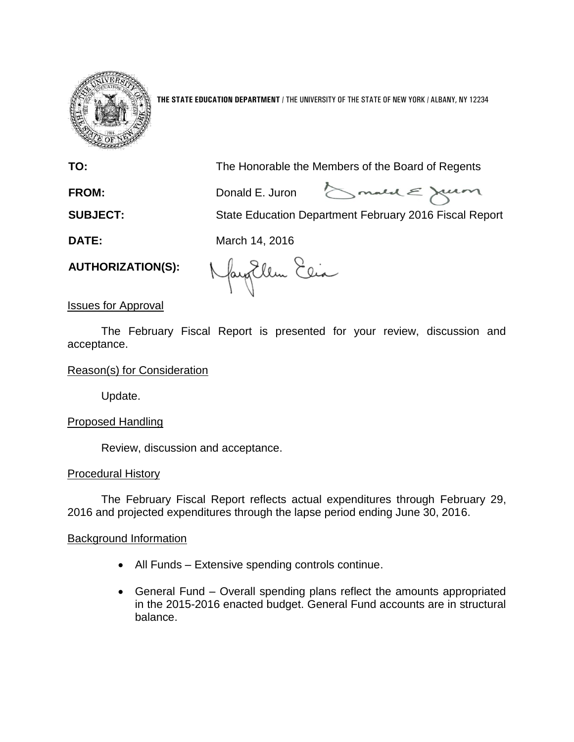

**THE STATE EDUCATION DEPARTMENT** / THE UNIVERSITY OF THE STATE OF NEW YORK / ALBANY, NY 12234

**TO:** The Honorable the Members of the Board of Regents

**FROM:** Donald E. Juron

Smald E Juan

**SUBJECT:** State Education Department February 2016 Fiscal Report

**DATE:** March 14, 2016

**AUTHORIZATION(S):**

Nayollen Eeia

Issues for Approval

The February Fiscal Report is presented for your review, discussion and acceptance.

## Reason(s) for Consideration

Update.

# Proposed Handling

Review, discussion and acceptance.

## Procedural History

The February Fiscal Report reflects actual expenditures through February 29, 2016 and projected expenditures through the lapse period ending June 30, 2016.

## Background Information

- All Funds Extensive spending controls continue.
- General Fund Overall spending plans reflect the amounts appropriated in the 2015-2016 enacted budget. General Fund accounts are in structural balance.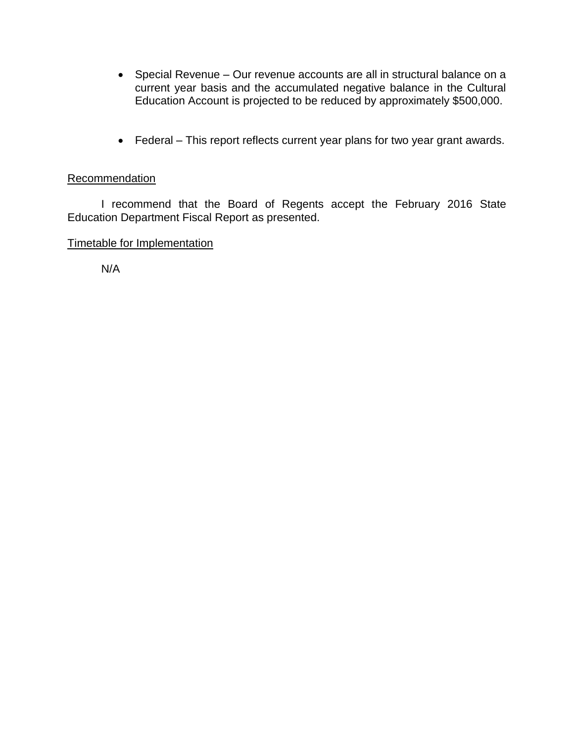- Special Revenue Our revenue accounts are all in structural balance on a current year basis and the accumulated negative balance in the Cultural Education Account is projected to be reduced by approximately \$500,000.
- Federal This report reflects current year plans for two year grant awards.

## Recommendation

I recommend that the Board of Regents accept the February 2016 State Education Department Fiscal Report as presented.

## Timetable for Implementation

N/A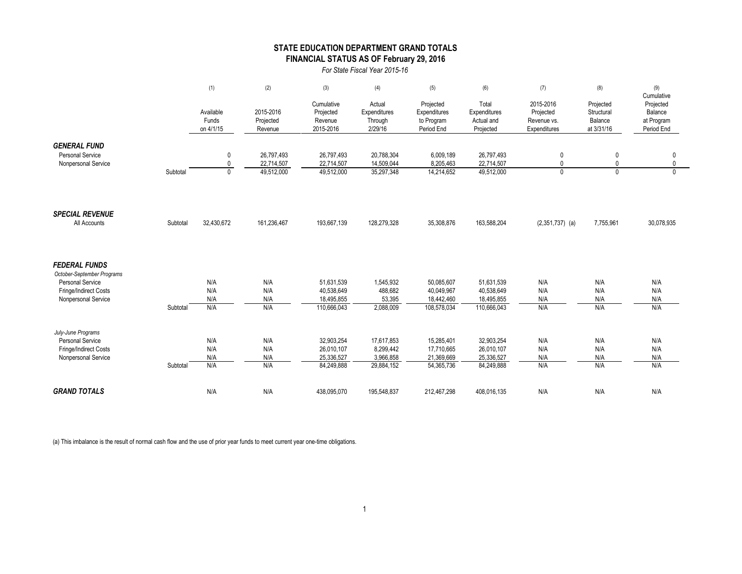### **STATE EDUCATION DEPARTMENT GRAND TOTALS FINANCIAL STATUS AS OF February 29, 2016**

*For State Fiscal Year 2015-16*

|                                                                                                                        |          | (1)                             | (2)                                    | (3)                                                   | (4)                                                | (5)                                                   | (6)                                                   | (7)                                                   | (8)                                              | (9)                                                            |
|------------------------------------------------------------------------------------------------------------------------|----------|---------------------------------|----------------------------------------|-------------------------------------------------------|----------------------------------------------------|-------------------------------------------------------|-------------------------------------------------------|-------------------------------------------------------|--------------------------------------------------|----------------------------------------------------------------|
|                                                                                                                        |          | Available<br>Funds<br>on 4/1/15 | 2015-2016<br>Projected<br>Revenue      | Cumulative<br>Projected<br>Revenue<br>2015-2016       | Actual<br>Expenditures<br>Through<br>2/29/16       | Projected<br>Expenditures<br>to Program<br>Period End | Total<br>Expenditures<br>Actual and<br>Projected      | 2015-2016<br>Projected<br>Revenue vs.<br>Expenditures | Projected<br>Structural<br>Balance<br>at 3/31/16 | Cumulative<br>Projected<br>Balance<br>at Program<br>Period End |
| <b>GENERAL FUND</b><br><b>Personal Service</b><br>Nonpersonal Service                                                  | Subtotal | 0<br>0<br>$\mathbf 0$           | 26,797,493<br>22,714,507<br>49,512,000 | 26,797,493<br>22,714,507<br>49,512,000                | 20,788,304<br>14,509,044<br>35,297,348             | 6,009,189<br>8,205,463<br>14,214,652                  | 26,797,493<br>22,714,507<br>49,512,000                | $\mathbf 0$<br>0<br>0                                 | $\pmb{0}$<br>0<br>$\mathbf{0}$                   | $\mathbf 0$<br>0<br>$\Omega$                                   |
| <b>SPECIAL REVENUE</b><br>All Accounts                                                                                 | Subtotal | 32,430,672                      | 161,236,467                            | 193,667,139                                           | 128,279,328                                        | 35,308,876                                            | 163,588,204                                           | $(2,351,737)$ (a)                                     | 7,755,961                                        | 30,078,935                                                     |
| <b>FEDERAL FUNDS</b><br>October-September Programs<br>Personal Service<br>Fringe/Indirect Costs<br>Nonpersonal Service | Subtotal | N/A<br>N/A<br>N/A<br>N/A        | N/A<br>N/A<br>N/A<br>N/A               | 51,631,539<br>40,538,649<br>18,495,855<br>110,666,043 | 1,545,932<br>488,682<br>53,395<br>2,088,009        | 50,085,607<br>40,049,967<br>18,442,460<br>108,578,034 | 51,631,539<br>40,538,649<br>18,495,855<br>110,666,043 | N/A<br>N/A<br>N/A<br>N/A                              | N/A<br>N/A<br>N/A<br>N/A                         | N/A<br>N/A<br>N/A<br>N/A                                       |
| July-June Programs<br><b>Personal Service</b><br>Fringe/Indirect Costs<br>Nonpersonal Service                          | Subtotal | N/A<br>N/A<br>N/A<br>N/A        | N/A<br>N/A<br>N/A<br>N/A               | 32,903,254<br>26,010,107<br>25,336,527<br>84,249,888  | 17,617,853<br>8,299,442<br>3,966,858<br>29,884,152 | 15,285,401<br>17,710,665<br>21,369,669<br>54,365,736  | 32,903,254<br>26,010,107<br>25,336,527<br>84,249,888  | N/A<br>N/A<br>N/A<br>N/A                              | N/A<br>N/A<br>N/A<br>N/A                         | N/A<br>N/A<br>N/A<br>N/A                                       |
| <b>GRAND TOTALS</b>                                                                                                    |          | N/A                             | N/A                                    | 438,095,070                                           | 195,548,837                                        | 212,467,298                                           | 408,016,135                                           | N/A                                                   | N/A                                              | N/A                                                            |

(a) This imbalance is the result of normal cash flow and the use of prior year funds to meet current year one-time obligations.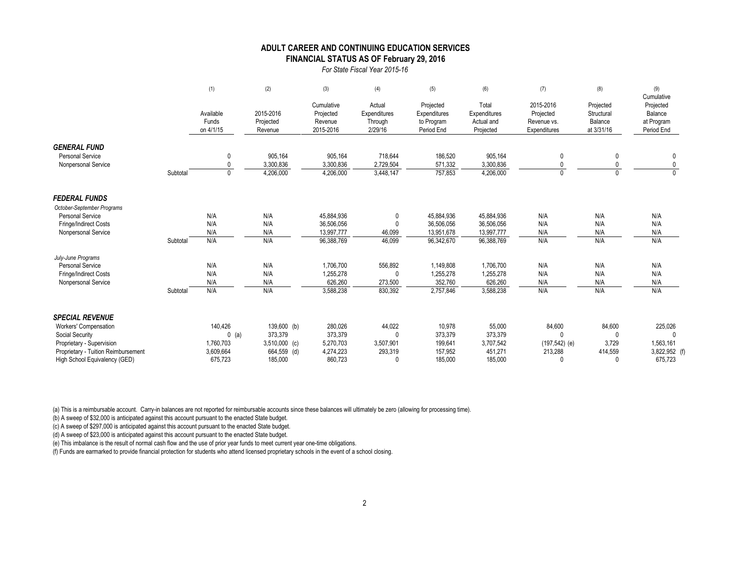#### **FINANCIAL STATUS AS OF February 29, 2016 ADULT CAREER AND CONTINUING EDUCATION SERVICES**

*For State Fiscal Year 2015-16*

|                                                                       |          | (1)                             | (2)                               | (3)                                             | (4)                                          | (5)                                                   | (6)                                              | (7)                                                   | (8)                                              | (9)<br>Cumulative                                |
|-----------------------------------------------------------------------|----------|---------------------------------|-----------------------------------|-------------------------------------------------|----------------------------------------------|-------------------------------------------------------|--------------------------------------------------|-------------------------------------------------------|--------------------------------------------------|--------------------------------------------------|
|                                                                       |          | Available<br>Funds<br>on 4/1/15 | 2015-2016<br>Projected<br>Revenue | Cumulative<br>Projected<br>Revenue<br>2015-2016 | Actual<br>Expenditures<br>Through<br>2/29/16 | Projected<br>Expenditures<br>to Program<br>Period End | Total<br>Expenditures<br>Actual and<br>Projected | 2015-2016<br>Projected<br>Revenue vs.<br>Expenditures | Projected<br>Structural<br>Balance<br>at 3/31/16 | Projected<br>Balance<br>at Program<br>Period End |
| <b>GENERAL FUND</b><br><b>Personal Service</b><br>Nonpersonal Service | Subtotal | 0<br>$\Omega$<br>$\mathbf{0}$   | 905,164<br>3,300,836<br>4,206,000 | 905,164<br>3,300,836<br>4,206,000               | 718,644<br>2,729,504<br>3,448,147            | 186,520<br>571,332<br>757,853                         | 905,164<br>3,300,836<br>4,206,000                | 0<br>$\mathbf{0}$<br>$\mathbf 0$                      | 0                                                | 0                                                |
| <b>FEDERAL FUNDS</b>                                                  |          |                                 |                                   |                                                 |                                              |                                                       |                                                  |                                                       |                                                  |                                                  |
| October-September Programs<br><b>Personal Service</b>                 |          | N/A                             | N/A                               | 45,884,936                                      | 0                                            | 45,884,936                                            | 45,884,936                                       | N/A                                                   | N/A                                              | N/A                                              |
| <b>Fringe/Indirect Costs</b>                                          |          | N/A                             | N/A                               | 36,506,056                                      | 0                                            | 36,506,056                                            | 36,506,056                                       | N/A                                                   | N/A                                              | N/A                                              |
| Nonpersonal Service                                                   |          | N/A                             | N/A                               | 13,997,777                                      | 46,099                                       | 13,951,678                                            | 13,997,777                                       | N/A                                                   | N/A                                              | N/A                                              |
|                                                                       | Subtotal | N/A                             | N/A                               | 96,388,769                                      | 46,099                                       | 96,342,670                                            | 96,388,769                                       | N/A                                                   | N/A                                              | N/A                                              |
| July-June Programs                                                    |          |                                 |                                   |                                                 |                                              |                                                       |                                                  |                                                       |                                                  |                                                  |
| <b>Personal Service</b>                                               |          | N/A                             | N/A                               | 1,706,700                                       | 556,892                                      | 1,149,808                                             | 1,706,700                                        | N/A                                                   | N/A                                              | N/A                                              |
| <b>Fringe/Indirect Costs</b>                                          |          | N/A                             | N/A                               | 1,255,278                                       | $\Omega$                                     | 1,255,278                                             | 1,255,278                                        | N/A                                                   | N/A                                              | N/A                                              |
| Nonpersonal Service                                                   |          | N/A                             | N/A                               | 626,260                                         | 273,500                                      | 352,760                                               | 626,260                                          | N/A                                                   | N/A                                              | N/A                                              |
|                                                                       | Subtotal | N/A                             | N/A                               | 3,588,238                                       | 830,392                                      | 2,757,846                                             | 3,588,238                                        | N/A                                                   | N/A                                              | N/A                                              |
| <b>SPECIAL REVENUE</b>                                                |          |                                 |                                   |                                                 |                                              |                                                       |                                                  |                                                       |                                                  |                                                  |
| Workers' Compensation                                                 |          | 140,426                         | 139,600 (b)                       | 280,026                                         | 44,022                                       | 10,978                                                | 55,000                                           | 84,600                                                | 84,600                                           | 225,026                                          |
| Social Security                                                       |          | $0$ (a)                         | 373,379                           | 373,379                                         | $\Omega$                                     | 373,379                                               | 373,379                                          | $\mathbf{0}$                                          | $\mathbf{0}$                                     |                                                  |
| Proprietary - Supervision                                             |          | 1,760,703                       | $3,510,000$ (c)                   | 5,270,703                                       | 3,507,901                                    | 199,641                                               | 3,707,542                                        | $(197, 542)$ (e)                                      | 3,729                                            | 1,563,161                                        |
| Proprietary - Tuition Reimbursement                                   |          | 3,609,664                       | 664,559 (d)                       | 4,274,223                                       | 293,319                                      | 157,952                                               | 451,271                                          | 213,288                                               | 414,559                                          | 3,822,952 (f)                                    |
| High School Equivalency (GED)                                         |          | 675.723                         | 185,000                           | 860.723                                         | $\Omega$                                     | 185,000                                               | 185,000                                          |                                                       | 0                                                | 675,723                                          |

(a) This is a reimbursable account. Carry-in balances are not reported for reimbursable accounts since these balances will ultimately be zero (allowing for processing time).

(b) A sweep of \$32,000 is anticipated against this account pursuant to the enacted State budget.

(c) A sweep of \$297,000 is anticipated against this account pursuant to the enacted State budget.

(d) A sweep of \$23,000 is anticipated against this account pursuant to the enacted State budget.

(e) This imbalance is the result of normal cash flow and the use of prior year funds to meet current year one-time obligations.

(f) Funds are earmarked to provide financial protection for students who attend licensed proprietary schools in the event of a school closing.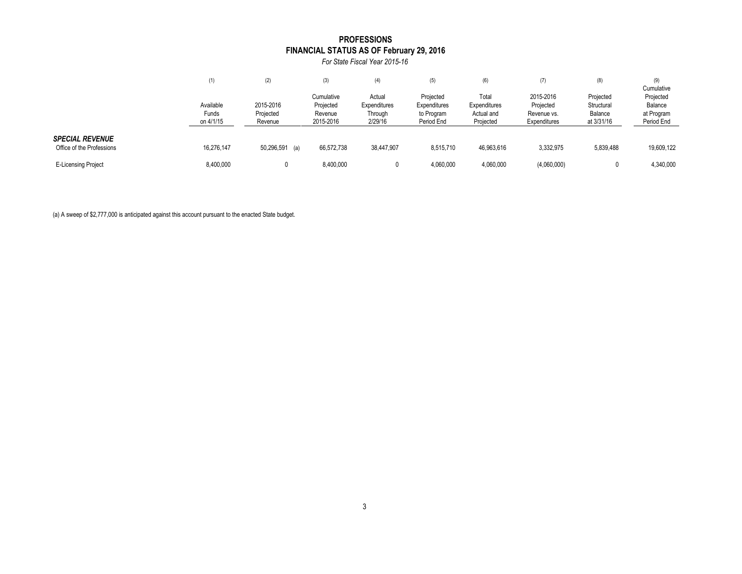### **FINANCIAL STATUS AS OF February 29, 2016 PROFESSIONS**

*For State Fiscal Year 2015-16*

|                                                     | (1)                             | (2)                               | (3)                                             | (4)                                          | (5)                                                   | (6)                                              | (7)                                                   | (8)                                              | (9)<br>Cumulative                                |
|-----------------------------------------------------|---------------------------------|-----------------------------------|-------------------------------------------------|----------------------------------------------|-------------------------------------------------------|--------------------------------------------------|-------------------------------------------------------|--------------------------------------------------|--------------------------------------------------|
|                                                     | Available<br>Funds<br>on 4/1/15 | 2015-2016<br>Projected<br>Revenue | Cumulative<br>Projected<br>Revenue<br>2015-2016 | Actual<br>Expenditures<br>Through<br>2/29/16 | Projected<br>Expenditures<br>to Program<br>Period End | Total<br>Expenditures<br>Actual and<br>Projected | 2015-2016<br>Projected<br>Revenue vs.<br>Expenditures | Projected<br>Structural<br>Balance<br>at 3/31/16 | Projected<br>Balance<br>at Program<br>Period End |
| <b>SPECIAL REVENUE</b><br>Office of the Professions | 16,276,147                      | 50,296,591<br>(a)                 | 66,572,738                                      | 38,447,907                                   | 8,515,710                                             | 46,963,616                                       | 3,332,975                                             | 5,839,488                                        | 19,609,122                                       |
| <b>E-Licensing Project</b>                          | 8,400,000                       |                                   | 8,400,000                                       |                                              | 4,060,000                                             | 4,060,000                                        | (4,060,000)                                           |                                                  | 4,340,000                                        |

(a) A sweep of \$2,777,000 is anticipated against this account pursuant to the enacted State budget.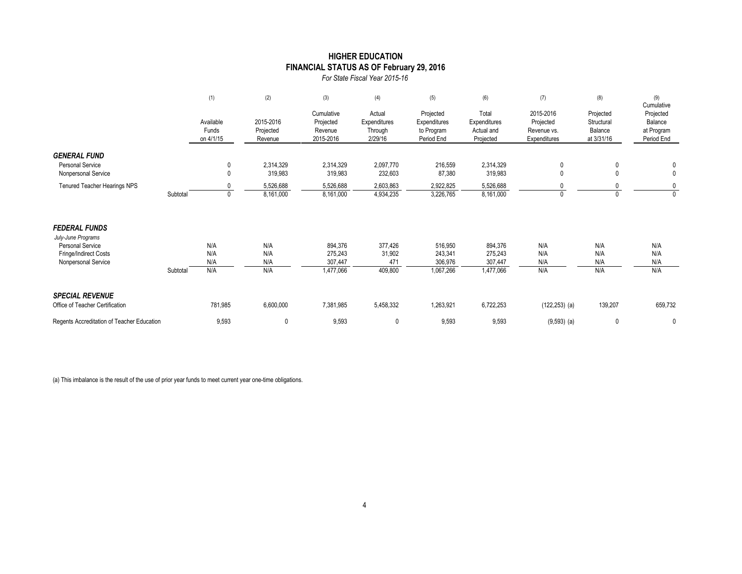### **FINANCIAL STATUS AS OF February 29, 2016 HIGHER EDUCATION**

*For State Fiscal Year 2015-16*

|                                                                                                                       |          | (1)                             | (2)                               | (3)                                             | (4)                                          | (5)                                                   | (6)                                              | (7)                                                   | (8)                                              | (9)<br>Cumulative                                |
|-----------------------------------------------------------------------------------------------------------------------|----------|---------------------------------|-----------------------------------|-------------------------------------------------|----------------------------------------------|-------------------------------------------------------|--------------------------------------------------|-------------------------------------------------------|--------------------------------------------------|--------------------------------------------------|
|                                                                                                                       |          | Available<br>Funds<br>on 4/1/15 | 2015-2016<br>Projected<br>Revenue | Cumulative<br>Projected<br>Revenue<br>2015-2016 | Actual<br>Expenditures<br>Through<br>2/29/16 | Projected<br>Expenditures<br>to Program<br>Period End | Total<br>Expenditures<br>Actual and<br>Projected | 2015-2016<br>Projected<br>Revenue vs.<br>Expenditures | Projected<br>Structural<br>Balance<br>at 3/31/16 | Projected<br>Balance<br>at Program<br>Period End |
| <b>GENERAL FUND</b><br><b>Personal Service</b><br>Nonpersonal Service                                                 |          | 0<br>$\mathbf{0}$               | 2,314,329<br>319,983              | 2,314,329<br>319,983                            | 2,097,770<br>232,603                         | 216,559<br>87,380                                     | 2,314,329<br>319,983                             | 0<br>0                                                | 0                                                | 0<br>$\mathbf 0$                                 |
| Tenured Teacher Hearings NPS                                                                                          | Subtotal | $\mathbf{0}$                    | 5,526,688<br>8,161,000            | 5,526,688<br>8,161,000                          | 2,603,863<br>4,934,235                       | 2,922,825<br>3,226,765                                | 5,526,688<br>8,161,000                           | $\mathbf{0}$                                          |                                                  | 0<br>$\Omega$                                    |
| <b>FEDERAL FUNDS</b><br>July-June Programs<br><b>Personal Service</b><br>Fringe/Indirect Costs<br>Nonpersonal Service |          | N/A<br>N/A<br>N/A               | N/A<br>N/A<br>N/A                 | 894,376<br>275,243<br>307,447                   | 377,426<br>31,902<br>471                     | 516,950<br>243,341<br>306,976                         | 894,376<br>275,243<br>307,447                    | N/A<br>N/A<br>N/A                                     | N/A<br>N/A<br>N/A                                | N/A<br>N/A<br>N/A                                |
|                                                                                                                       | Subtotal | N/A                             | N/A                               | 1,477,066                                       | 409,800                                      | 1,067,266                                             | 1,477,066                                        | N/A                                                   | N/A                                              | N/A                                              |
| <b>SPECIAL REVENUE</b><br>Office of Teacher Certification                                                             |          | 781,985                         | 6,600,000                         | 7,381,985                                       | 5,458,332                                    | 1,263,921                                             | 6,722,253                                        | $(122, 253)$ (a)                                      | 139,207                                          | 659,732                                          |
| Regents Accreditation of Teacher Education                                                                            |          | 9,593                           | 0                                 | 9,593                                           | $\mathbf{0}$                                 | 9,593                                                 | 9,593                                            | $(9,593)$ (a)                                         | $\mathbf{0}$                                     | $\mathbf 0$                                      |

(a) This imbalance is the result of the use of prior year funds to meet current year one-time obligations.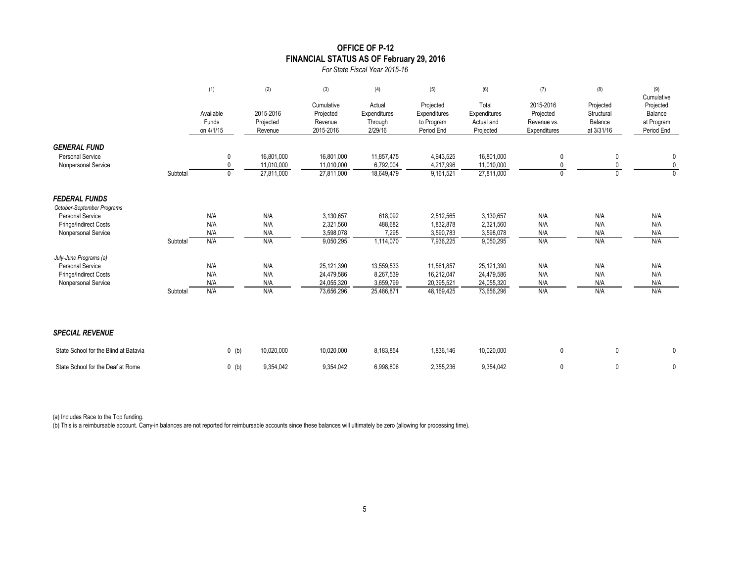### **OFFICE OF P-12 FINANCIAL STATUS AS OF February 29, 2016**

*For State Fiscal Year 2015-16*

|                                                       |          | (1)                             | (2)                               | (3)                                             | (4)                                          | (5)                                                   | (6)                                              | (7)                                                   | (8)                                              | (9)<br>Cumulative                                |
|-------------------------------------------------------|----------|---------------------------------|-----------------------------------|-------------------------------------------------|----------------------------------------------|-------------------------------------------------------|--------------------------------------------------|-------------------------------------------------------|--------------------------------------------------|--------------------------------------------------|
|                                                       |          | Available<br>Funds<br>on 4/1/15 | 2015-2016<br>Projected<br>Revenue | Cumulative<br>Projected<br>Revenue<br>2015-2016 | Actual<br>Expenditures<br>Through<br>2/29/16 | Projected<br>Expenditures<br>to Program<br>Period End | Total<br>Expenditures<br>Actual and<br>Projected | 2015-2016<br>Projected<br>Revenue vs.<br>Expenditures | Projected<br>Structural<br>Balance<br>at 3/31/16 | Projected<br>Balance<br>at Program<br>Period End |
| <b>GENERAL FUND</b><br><b>Personal Service</b>        |          | 0                               | 16.801.000                        | 16,801,000                                      | 11,857,475                                   | 4,943,525                                             | 16,801,000                                       | 0                                                     | 0                                                | 0                                                |
| Nonpersonal Service                                   | Subtotal | $\mathbf{0}$<br>0               | 11,010,000<br>27,811,000          | 11,010,000<br>27,811,000                        | 6,792,004<br>18,649,479                      | 4,217,996<br>9,161,521                                | 11,010,000<br>27,811,000                         | $\mathbf{0}$                                          | 0<br>$\Omega$                                    | $\mathbf 0$<br>$\Omega$                          |
| <b>FEDERAL FUNDS</b>                                  |          |                                 |                                   |                                                 |                                              |                                                       |                                                  |                                                       |                                                  |                                                  |
| October-September Programs<br><b>Personal Service</b> |          | N/A                             | N/A                               | 3,130,657                                       | 618,092                                      | 2,512,565                                             | 3,130,657                                        | N/A                                                   | N/A                                              | N/A                                              |
| Fringe/Indirect Costs                                 |          | N/A                             | N/A                               | 2,321,560                                       | 488,682                                      | 1,832,878                                             | 2,321,560                                        | N/A                                                   | N/A                                              | N/A                                              |
| Nonpersonal Service                                   |          | N/A                             | N/A                               | 3,598,078                                       | 7,295                                        | 3,590,783                                             | 3,598,078                                        | N/A                                                   | N/A                                              | N/A                                              |
|                                                       | Subtotal | N/A                             | N/A                               | 9,050,295                                       | 1,114,070                                    | 7,936,225                                             | 9,050,295                                        | N/A                                                   | N/A                                              | N/A                                              |
| July-June Programs (a)                                |          |                                 |                                   |                                                 |                                              |                                                       |                                                  |                                                       |                                                  |                                                  |
| <b>Personal Service</b>                               |          | N/A                             | N/A                               | 25,121,390                                      | 13,559,533                                   | 11,561,857                                            | 25,121,390                                       | N/A                                                   | N/A                                              | N/A                                              |
| Fringe/Indirect Costs                                 |          | N/A                             | N/A                               | 24,479,586                                      | 8,267,539                                    | 16,212,047                                            | 24,479,586                                       | N/A                                                   | N/A                                              | N/A                                              |
| Nonpersonal Service                                   | Subtotal | N/A<br>N/A                      | N/A<br>N/A                        | 24,055,320<br>73,656,296                        | 3,659,799<br>25,486,871                      | 20,395,521<br>48,169,425                              | 24,055,320<br>73,656,296                         | N/A<br>N/A                                            | N/A<br>N/A                                       | N/A<br>N/A                                       |
| <b>SPECIAL REVENUE</b>                                |          |                                 |                                   |                                                 |                                              |                                                       |                                                  |                                                       |                                                  |                                                  |
| State School for the Blind at Batavia                 |          | $0$ (b)                         | 10,020,000                        | 10,020,000                                      | 8,183,854                                    | 1,836,146                                             | 10,020,000                                       | $\mathbf 0$                                           | 0                                                | 0                                                |
| State School for the Deaf at Rome                     |          | $0$ (b)                         | 9,354,042                         | 9,354,042                                       | 6,998,806                                    | 2,355,236                                             | 9,354,042                                        | 0                                                     | $\mathbf{0}$                                     | 0                                                |

(a) Includes Race to the Top funding.

(b) This is a reimbursable account. Carry-in balances are not reported for reimbursable accounts since these balances will ultimately be zero (allowing for processing time).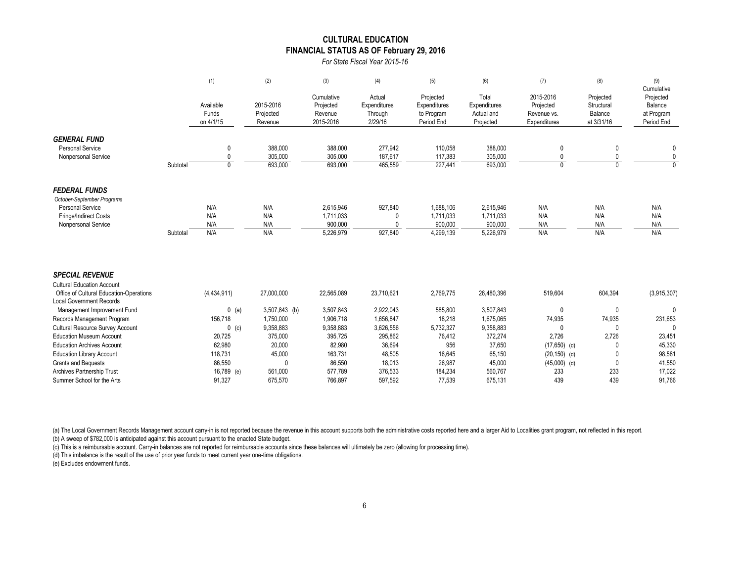#### **CULTURAL EDUCATION FINANCIAL STATUS AS OF February 29, 2016**

*For State Fiscal Year 2015-16*

|          | (1)                                                      | (2)                                                              | (3)                                                          | (4)                                                          | (5)                                                   | (6)                                                          | (7)                                                   | (8)                                              | (9)<br>Cumulative                                           |
|----------|----------------------------------------------------------|------------------------------------------------------------------|--------------------------------------------------------------|--------------------------------------------------------------|-------------------------------------------------------|--------------------------------------------------------------|-------------------------------------------------------|--------------------------------------------------|-------------------------------------------------------------|
|          | Available<br>Funds<br>on 4/1/15                          | 2015-2016<br>Projected<br>Revenue                                | Cumulative<br>Projected<br>Revenue<br>2015-2016              | Actual<br>Expenditures<br>Through<br>2/29/16                 | Projected<br>Expenditures<br>to Program<br>Period End | Total<br>Expenditures<br>Actual and<br>Projected             | 2015-2016<br>Projected<br>Revenue vs.<br>Expenditures | Projected<br>Structural<br>Balance<br>at 3/31/16 | Projected<br>Balance<br>at Program<br>Period End            |
| Subtotal | 0<br>$\mathbf{0}$<br>$\mathbf{0}$                        | 388,000<br>305,000<br>693,000                                    | 388,000<br>305,000<br>693,000                                | 277,942<br>187,617<br>465,559                                | 110,058<br>117,383<br>227,441                         | 388,000<br>305,000<br>693,000                                |                                                       | 0<br>$\Omega$                                    | 0<br>0<br>$\Omega$                                          |
| Subtotal | N/A<br>N/A<br>N/A<br>N/A                                 | N/A<br>N/A<br>N/A<br>N/A                                         | 2,615,946<br>1,711,033<br>900,000<br>5,226,979               | 927,840<br>927,840                                           | 1,688,106<br>1,711,033<br>900,000<br>4,299,139        | 2,615,946<br>1,711,033<br>900,000<br>5,226,979               | N/A<br>N/A<br>N/A<br>N/A                              | N/A<br>N/A<br>N/A<br>N/A                         | N/A<br>N/A<br>N/A<br>N/A                                    |
|          | (4, 434, 911)<br>$0$ (a)<br>156,718<br>$0$ (c)<br>20,725 | 27,000,000<br>3,507,843 (b)<br>1,750,000<br>9,358,883<br>375,000 | 22,565,089<br>3,507,843<br>1,906,718<br>9,358,883<br>395,725 | 23,710,621<br>2,922,043<br>1,656,847<br>3,626,556<br>295,862 | 2,769,775<br>585,800<br>18,218<br>5,732,327<br>76,412 | 26,480,396<br>3,507,843<br>1,675,065<br>9,358,883<br>372,274 | 519,604<br>0<br>74,935<br>2,726                       | 604,394<br>0<br>74,935<br>$\Omega$<br>2,726      | (3,915,307)<br>0<br>231,653<br>$\Omega$<br>23,451<br>45,330 |
|          |                                                          | 62,980                                                           | 20,000                                                       | 82,980                                                       | 36,694                                                | 956                                                          | 37,650                                                | $(17,650)$ (d)                                   | 0                                                           |

Education Library Account 118,731 45,000 163,731 48,505 16,645 65,150 (20,150) (d) 0 98,581 Grants and Bequests 86,550 0 86,550 18,013 26,987 45,000 (45,000) (d) 0 41,550 Archives Partnership Trust 16,189 (e) 561,000 577,789 376,533 184,234 560,767 233 233 233 17,022 Summer School for the Arts 91,327 675,570 766,897 597,592 77,539 675,131 439 439 91,766

(a) The Local Government Records Management account carry-in is not reported because the revenue in this account supports both the administrative costs reported here and a larger Aid to Localities grant program, not reflec (b) A sweep of \$782,000 is anticipated against this account pursuant to the enacted State budget.

(c) This is a reimbursable account. Carry-in balances are not reported for reimbursable accounts since these balances will ultimately be zero (allowing for processing time).

(d) This imbalance is the result of the use of prior year funds to meet current year one-time obligations.

(e) Excludes endowment funds.